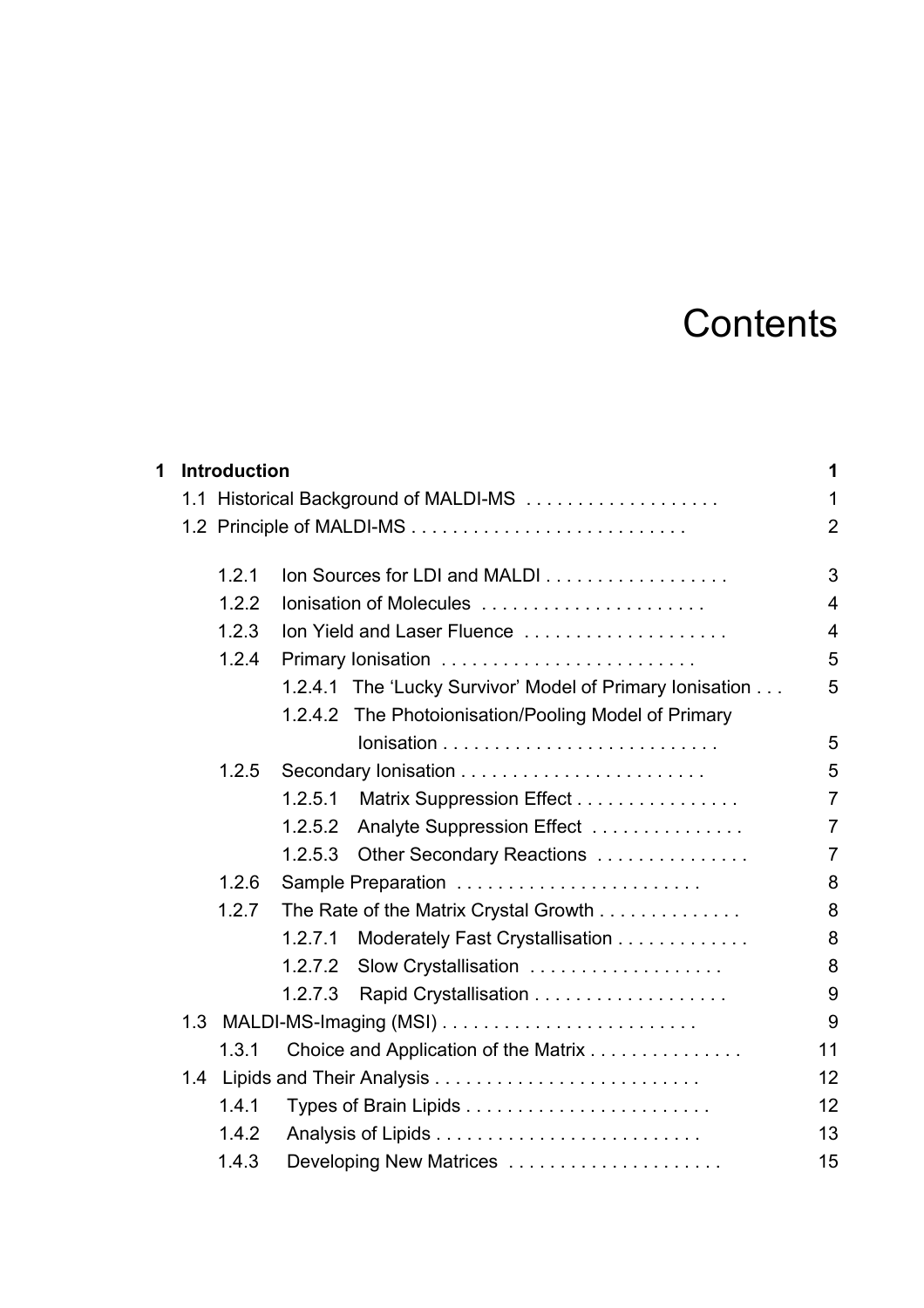## **Contents**

| 1 |                                       | <b>Introduction</b> |                                       |                                                          | 1              |  |
|---|---------------------------------------|---------------------|---------------------------------------|----------------------------------------------------------|----------------|--|
|   | 1.1 Historical Background of MALDI-MS |                     |                                       |                                                          |                |  |
|   |                                       |                     |                                       |                                                          |                |  |
|   |                                       | 1.2.1               |                                       | Ion Sources for LDI and MALDI                            | 3              |  |
|   |                                       | 1.2.2               |                                       | Ionisation of Molecules                                  | $\overline{4}$ |  |
|   |                                       | 1.2.3               |                                       | Ion Yield and Laser Fluence                              | 4              |  |
|   | 1.2.4                                 |                     |                                       |                                                          |                |  |
|   |                                       |                     |                                       | 1.2.4.1 The 'Lucky Survivor' Model of Primary Ionisation | 5              |  |
|   |                                       |                     |                                       | 1.2.4.2 The Photoionisation/Pooling Model of Primary     |                |  |
|   |                                       |                     |                                       |                                                          | 5              |  |
|   |                                       | 1.2.5               |                                       |                                                          | 5              |  |
|   |                                       |                     | 1.2.5.1                               | Matrix Suppression Effect                                | $\overline{7}$ |  |
|   |                                       |                     | 1.2.5.2                               | Analyte Suppression Effect                               | $\overline{7}$ |  |
|   |                                       |                     | 1.2.5.3                               | Other Secondary Reactions                                | $\overline{7}$ |  |
|   |                                       | 1.2.6               |                                       |                                                          |                |  |
|   | 1.2.7                                 |                     | The Rate of the Matrix Crystal Growth |                                                          | 8              |  |
|   |                                       |                     | 1.2.7.1                               | Moderately Fast Crystallisation                          | 8              |  |
|   |                                       |                     | 1.2.7.2                               | Slow Crystallisation                                     | 8              |  |
|   |                                       |                     | 1.2.7.3                               |                                                          | 9              |  |
|   |                                       |                     |                                       |                                                          | 9              |  |
|   |                                       | 1.3.1               |                                       | Choice and Application of the Matrix                     | 11             |  |
|   | 1.4                                   |                     |                                       |                                                          | 12             |  |
|   |                                       | 1.4.1               |                                       |                                                          | 12             |  |
|   |                                       | 1.4.2               |                                       |                                                          | 13             |  |
|   |                                       | 1.4.3               |                                       | Developing New Matrices                                  | 15             |  |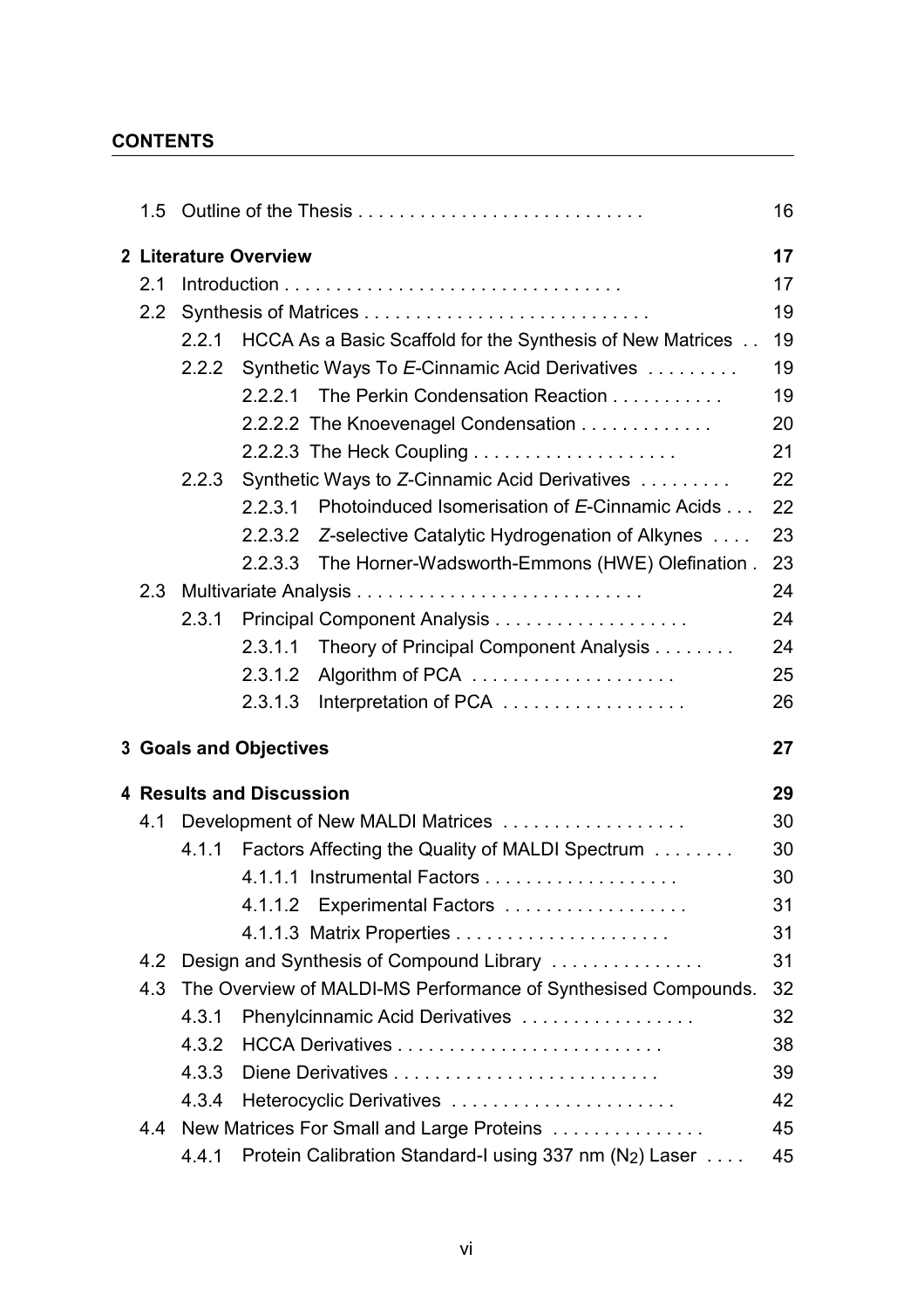## **CONTENTS**

|               |                                   |                                                                       | 16 |  |  |
|---------------|-----------------------------------|-----------------------------------------------------------------------|----|--|--|
|               |                                   | 2 Literature Overview                                                 | 17 |  |  |
| 2.1           |                                   |                                                                       |    |  |  |
| 2.2           |                                   |                                                                       |    |  |  |
|               | 2.2.1                             | HCCA As a Basic Scaffold for the Synthesis of New Matrices            | 19 |  |  |
|               |                                   | 2.2.2 Synthetic Ways To E-Cinnamic Acid Derivatives                   | 19 |  |  |
|               |                                   | 2.2.2.1 The Perkin Condensation Reaction                              | 19 |  |  |
|               |                                   | 2.2.2.2 The Knoevenagel Condensation                                  | 20 |  |  |
|               |                                   | 2.2.2.3 The Heck Coupling $\ldots \ldots \ldots \ldots \ldots \ldots$ | 21 |  |  |
|               | 2.2.3                             | Synthetic Ways to Z-Cinnamic Acid Derivatives                         | 22 |  |  |
|               |                                   | 2.2.3.1 Photoinduced Isomerisation of E-Cinnamic Acids                | 22 |  |  |
|               |                                   | 2.2.3.2 Z-selective Catalytic Hydrogenation of Alkynes                | 23 |  |  |
|               |                                   | The Horner-Wadsworth-Emmons (HWE) Olefination.<br>2.2.3.3             | 23 |  |  |
|               |                                   |                                                                       | 24 |  |  |
|               | 2.3.1                             |                                                                       | 24 |  |  |
|               |                                   | Theory of Principal Component Analysis<br>2.3.1.1                     | 24 |  |  |
|               |                                   | 2.3.1.2                                                               | 25 |  |  |
|               |                                   | 2.3.1.3<br>Interpretation of PCA                                      | 26 |  |  |
|               |                                   | <b>3 Goals and Objectives</b>                                         | 27 |  |  |
|               |                                   | <b>4 Results and Discussion</b>                                       | 29 |  |  |
| 4.1           | Development of New MALDI Matrices |                                                                       |    |  |  |
|               |                                   | 4.1.1 Factors Affecting the Quality of MALDI Spectrum                 | 30 |  |  |
|               |                                   | 4.1.1.1 Instrumental Factors                                          | 30 |  |  |
|               |                                   |                                                                       |    |  |  |
|               |                                   | 4.1.1.2 Experimental Factors                                          | 31 |  |  |
|               |                                   |                                                                       | 31 |  |  |
| $4.2^{\circ}$ |                                   | Design and Synthesis of Compound Library                              | 31 |  |  |
| 4.3           |                                   | The Overview of MALDI-MS Performance of Synthesised Compounds.        | 32 |  |  |
|               | 4.3.1                             | Phenylcinnamic Acid Derivatives                                       | 32 |  |  |
|               | 4.3.2                             |                                                                       | 38 |  |  |
|               | 4.3.3                             |                                                                       | 39 |  |  |
|               | 4.3.4                             | Heterocyclic Derivatives                                              | 42 |  |  |
| 4.4           |                                   | New Matrices For Small and Large Proteins                             | 45 |  |  |